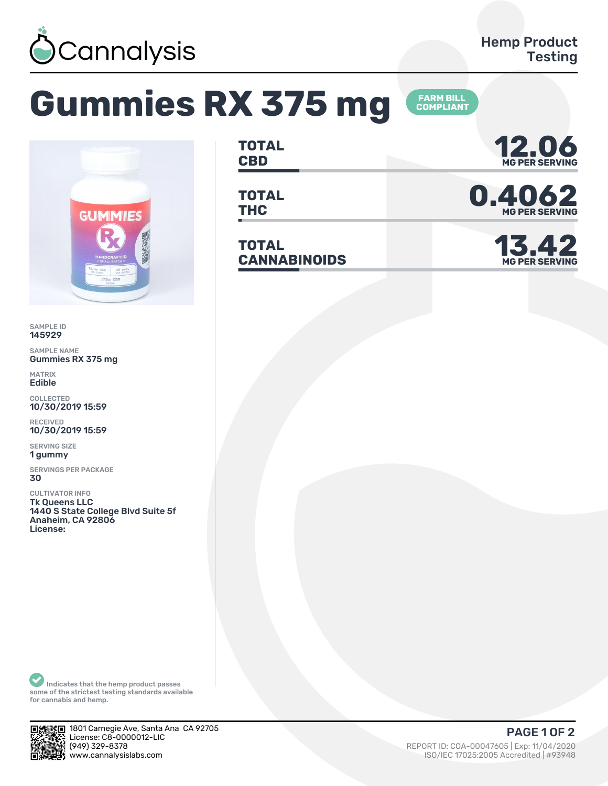

## Gummies RX 375 mg





## SAMPLE ID 145929

SAMPLE NAME Gummies RX 375 mg

MATRIX Edible

COLLECTED 10/30/2019 15:59

RECEIVED 10/30/2019 15:59

SERVING SIZE ǽ gummy

SERVINGS PER PACKAGE 30

CULTIVATOR INFO Tk Queens LLC 1440 S State College Blvd Suite 5f Anaheim, CA 92806 License:

**TOTAL** TOTAL **12.06** 

**TOTAL**

**TOTAL CANNABINOIDS ǽǿ.ȀǾ**



TOTAL **D. 4062** 

**MG PER SERVI** 

Indicates that the hemp product passes some of the strictest testing standards available for cannabis and hemp.



kE 1801 Carnegie Ave, Santa Ana CA 92705  $\frac{1}{24}$ . License: C8-0000012-LIC<br> $\frac{1}{24}$  (949) 329-8378 يضيات | REPORT ID: COA-00047605 | Exp: 11/04/2020<br>- REPORT ID: COA-00047605 | Exp: 11/04/2020<br>- ISO/IEC 17025:2005 Accredited | #93948